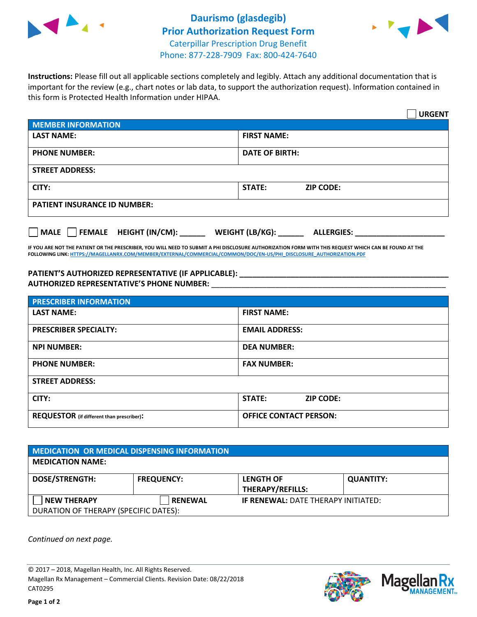



**Instructions:** Please fill out all applicable sections completely and legibly. Attach any additional documentation that is important for the review (e.g., chart notes or lab data, to support the authorization request). Information contained in this form is Protected Health Information under HIPAA.

|                                                | <b>URGENT</b>                        |  |  |  |
|------------------------------------------------|--------------------------------------|--|--|--|
| <b>MEMBER INFORMATION</b>                      |                                      |  |  |  |
| <b>LAST NAME:</b>                              | <b>FIRST NAME:</b>                   |  |  |  |
| <b>PHONE NUMBER:</b>                           | <b>DATE OF BIRTH:</b>                |  |  |  |
| <b>STREET ADDRESS:</b>                         |                                      |  |  |  |
| CITY:                                          | <b>STATE:</b><br><b>ZIP CODE:</b>    |  |  |  |
| <b>PATIENT INSURANCE ID NUMBER:</b>            |                                      |  |  |  |
| $\Box$ FEMALE HEIGHT (IN/CM): _<br><b>MALE</b> | WEIGHT (LB/KG):<br><b>ALLERGIES:</b> |  |  |  |

**IF YOU ARE NOT THE PATIENT OR THE PRESCRIBER, YOU WILL NEED TO SUBMIT A PHI DISCLOSURE AUTHORIZATION FORM WITH THIS REQUEST WHICH CAN BE FOUND AT THE FOLLOWING LINK[: HTTPS://MAGELLANRX.COM/MEMBER/EXTERNAL/COMMERCIAL/COMMON/DOC/EN-US/PHI\\_DISCLOSURE\\_AUTHORIZATION.PDF](https://magellanrx.com/member/external/commercial/common/doc/en-us/PHI_Disclosure_Authorization.pdf)**

**PATIENT'S AUTHORIZED REPRESENTATIVE (IF APPLICABLE): \_\_\_\_\_\_\_\_\_\_\_\_\_\_\_\_\_\_\_\_\_\_\_\_\_\_\_\_\_\_\_\_\_\_\_\_\_\_\_\_\_\_\_\_\_\_\_\_\_ AUTHORIZED REPRESENTATIVE'S PHONE NUMBER:** \_\_\_\_\_\_\_\_\_\_\_\_\_\_\_\_\_\_\_\_\_\_\_\_\_\_\_\_\_\_\_\_\_\_\_\_\_\_\_\_\_\_\_\_\_\_\_\_\_\_\_\_\_\_\_

| <b>PRESCRIBER INFORMATION</b>             |                               |  |  |  |
|-------------------------------------------|-------------------------------|--|--|--|
| <b>LAST NAME:</b>                         | <b>FIRST NAME:</b>            |  |  |  |
| <b>PRESCRIBER SPECIALTY:</b>              | <b>EMAIL ADDRESS:</b>         |  |  |  |
| <b>NPI NUMBER:</b>                        | <b>DEA NUMBER:</b>            |  |  |  |
| <b>PHONE NUMBER:</b>                      | <b>FAX NUMBER:</b>            |  |  |  |
| <b>STREET ADDRESS:</b>                    |                               |  |  |  |
| CITY:                                     | STATE:<br><b>ZIP CODE:</b>    |  |  |  |
| REQUESTOR (if different than prescriber): | <b>OFFICE CONTACT PERSON:</b> |  |  |  |

| <b>MEDICATION OR MEDICAL DISPENSING INFORMATION</b> |                   |                                            |                  |  |
|-----------------------------------------------------|-------------------|--------------------------------------------|------------------|--|
| <b>MEDICATION NAME:</b>                             |                   |                                            |                  |  |
| <b>DOSE/STRENGTH:</b>                               | <b>FREQUENCY:</b> | <b>LENGTH OF</b>                           | <b>QUANTITY:</b> |  |
|                                                     |                   | <b>THERAPY/REFILLS:</b>                    |                  |  |
| <b>NEW THERAPY</b>                                  | <b>RENEWAL</b>    | <b>IF RENEWAL: DATE THERAPY INITIATED:</b> |                  |  |
| DURATION OF THERAPY (SPECIFIC DATES):               |                   |                                            |                  |  |

*Continued on next page.*

© 2017 – 2018, Magellan Health, Inc. All Rights Reserved. Magellan Rx Management – Commercial Clients. Revision Date: 08/22/2018 CAT0295